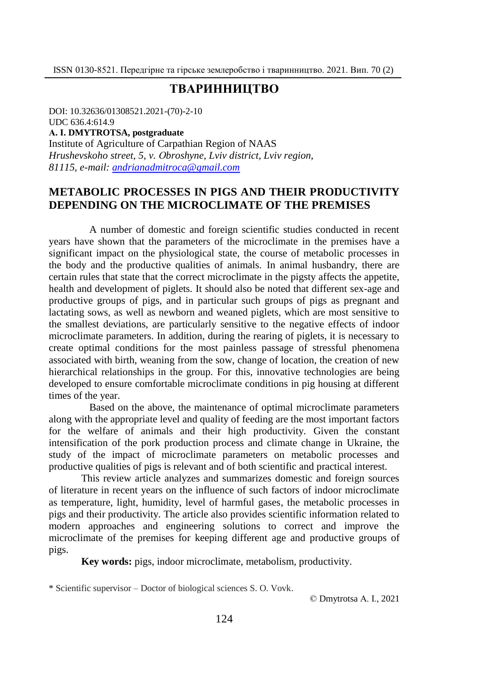# **ТВАРИННИЦТВО**

DOI: 10.32636/01308521.2021-(70)-2-10 UDC 636.4:614.9 **А. І. DMYTROTSA, postgraduate** Institute of Agriculture of Carpathian Region of NAAS *Hrushevskoho street, 5, v. Оbroshyne, Lviv district, Lviv region, 81115, e-mail: [andrianadmitroca@gmail.com](mailto:andrianadmitroca@gmail.com)*

### **METABOLIC PROCESSES IN PIGS AND THEIR PRODUCTIVITY DEPENDING ON THE MICROCLIMATE OF THE PREMISES**

A number of domestic and foreign scientific studies conducted in recent years have shown that the parameters of the microclimate in the premises have a significant impact on the physiological state, the course of metabolic processes in the body and the productive qualities of animals. In animal husbandry, there are certain rules that state that the correct microclimate in the pigsty affects the appetite, health and development of piglets. It should also be noted that different sex-age and productive groups of pigs, and in particular such groups of pigs as pregnant and lactating sows, as well as newborn and weaned piglets, which are most sensitive to the smallest deviations, are particularly sensitive to the negative effects of indoor microclimate parameters. In addition, during the rearing of piglets, it is necessary to create optimal conditions for the most painless passage of stressful phenomena associated with birth, weaning from the sow, change of location, the creation of new hierarchical relationships in the group. For this, innovative technologies are being developed to ensure comfortable microclimate conditions in pig housing at different times of the year.

Based on the above, the maintenance of optimal microclimate parameters along with the appropriate level and quality of feeding are the most important factors for the welfare of animals and their high productivity. Given the constant intensification of the pork production process and climate change in Ukraine, the study of the impact of microclimate parameters on metabolic processes and productive qualities of pigs is relevant and of both scientific and practical interest.

This review article analyzes and summarizes domestic and foreign sources of literature in recent years on the influence of such factors of indoor microclimate as temperature, light, humidity, level of harmful gases, the metabolic processes in pigs and their productivity. The article also provides scientific information related to modern approaches and engineering solutions to correct and improve the microclimate of the premises for keeping different age and productive groups of pigs.

**Key words:** pigs, indoor microclimate, metabolism, productivity.

\* Scientific supervisor ‒ Doctor of biological sciences S. O. Vovk.

© Dmytrotsa А. І., 2021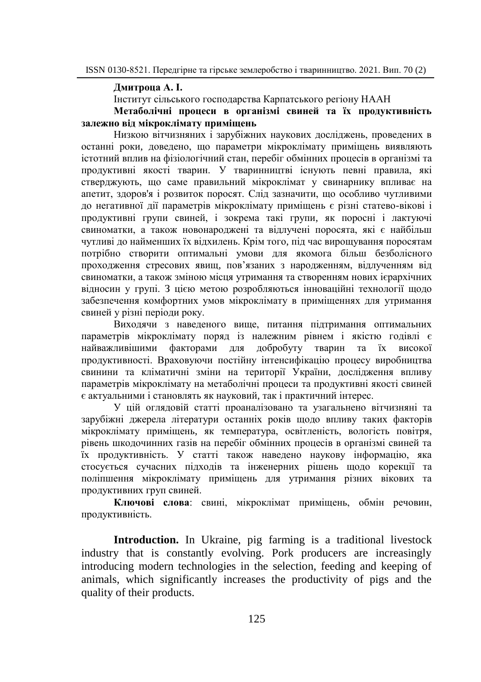**Дмитроца А. І.**

Інститут сільського господарства Карпатського регіону НААН

### **Метаболічні процеси в організмі свиней та їх продуктивність залежно від мікроклімату приміщень**

Низкою вітчизняних і зарубіжних наукових досліджень, проведених в останні роки, доведено, що параметри мікроклімату приміщень виявляють істотний вплив на фізіологічний стан, перебіг обмінних процесів в організмі та продуктивні якості тварин. У тваринництві існують певні правила, які стверджують, що саме правильний мікроклімат у свинарнику впливає на апетит, здоров'я і розвиток поросят. Слід зазначити, що особливо чутливими до негативної дії параметрів мікроклімату приміщень є різні статево-вікові і продуктивні групи свиней, і зокрема такі групи, як поросні і лактуючі свиноматки, а також новонароджені та відлучені поросята, які є найбільш чутливі до найменших їх відхилень. Крім того, під час вирощування поросятам потрібно створити оптимальні умови для якомога більш безболісного проходження стресових явищ, пов'язаних з народженням, відлученням від свиноматки, а також зміною місця утримання та створенням нових ієрархічних відносин у групі. З цією метою розробляються інноваційні технології щодо забезпечення комфортних умов мікроклімату в приміщеннях для утримання свиней у різні періоди року.

Виходячи з наведеного вище, питання підтримання оптимальних параметрів мікроклімату поряд із належним рівнем і якістю годівлі є найважливішими факторами для добробуту тварин та їх високої продуктивності. Враховуючи постійну інтенсифікацію процесу виробництва свинини та кліматичні зміни на території України, дослідження впливу параметрів мікроклімату на метаболічні процеси та продуктивні якості свиней є актуальними і становлять як науковий, так і практичний інтерес.

У цій оглядовій статті проаналізовано та узагальнено вітчизняні та зарубіжні джерела літератури останніх років щодо впливу таких факторів мікроклімату приміщень, як температура, освітленість, вологість повітря, рівень шкодочинних газів на перебіг обмінних процесів в організмі свиней та їх продуктивність. У статті також наведено наукову інформацію, яка стосується сучасних підходів та інженерних рішень щодо корекції та поліпшення мікроклімату приміщень для утримання різних вікових та продуктивних груп свиней.

**Ключові слова**: свині, мікроклімат приміщень, обмін речовин, продуктивність.

**Introduction.** In Ukraine, pig farming is a traditional livestock industry that is constantly evolving. Pork producers are increasingly introducing modern technologies in the selection, feeding and keeping of animals, which significantly increases the productivity of pigs and the quality of their products.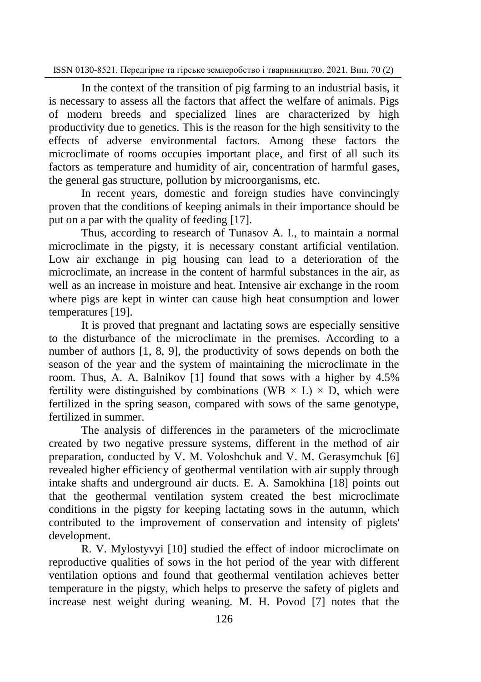In the context of the transition of pig farming to an industrial basis, it is necessary to assess all the factors that affect the welfare of animals. Pigs of modern breeds and specialized lines are characterized by high productivity due to genetics. This is the reason for the high sensitivity to the effects of adverse environmental factors. Among these factors the microclimate of rooms occupies important place, and first of all such its factors as temperature and humidity of air, concentration of harmful gases, the general gas structure, pollution by microorganisms, etc.

In recent years, domestic and foreign studies have convincingly proven that the conditions of keeping animals in their importance should be put on a par with the quality of feeding [17].

Thus, according to research of Tunasov A. I., to maintain a normal microclimate in the pigsty, it is necessary constant artificial ventilation. Low air exchange in pig housing can lead to a deterioration of the microclimate, an increase in the content of harmful substances in the air, as well as an increase in moisture and heat. Intensive air exchange in the room where pigs are kept in winter can cause high heat consumption and lower temperatures [19].

It is proved that pregnant and lactating sows are especially sensitive to the disturbance of the microclimate in the premises. According to a number of authors [1, 8, 9], the productivity of sows depends on both the season of the year and the system of maintaining the microclimate in the room. Thus, A. A. Balnikov [1] found that sows with a higher by 4.5% fertility were distinguished by combinations (WB  $\times$  L)  $\times$  D, which were fertilized in the spring season, compared with sows of the same genotype, fertilized in summer.

The analysis of differences in the parameters of the microclimate created by two negative pressure systems, different in the method of air preparation, conducted by V. M. Voloshchuk and V. M. Gerasymchuk [6] revealed higher efficiency of geothermal ventilation with air supply through intake shafts and underground air ducts. E. A. Samokhina [18] points out that the geothermal ventilation system created the best microclimate conditions in the pigsty for keeping lactating sows in the autumn, which contributed to the improvement of conservation and intensity of piglets' development.

R. V. Mylostyvyi [10] studied the effect of indoor microclimate on reproductive qualities of sows in the hot period of the year with different ventilation options and found that geothermal ventilation achieves better temperature in the pigsty, which helps to preserve the safety of piglets and increase nest weight during weaning. M. H. Povod [7] notes that the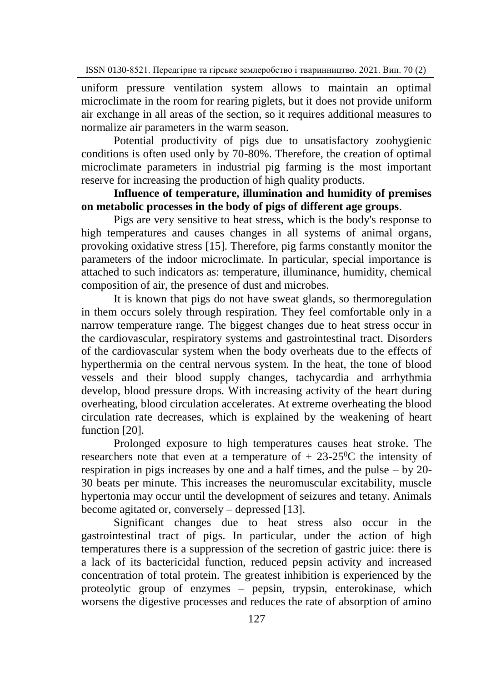uniform pressure ventilation system allows to maintain an optimal microclimate in the room for rearing piglets, but it does not provide uniform air exchange in all areas of the section, so it requires additional measures to normalize air parameters in the warm season.

Potential productivity of pigs due to unsatisfactory zoohygienic conditions is often used only by 70-80%. Therefore, the creation of optimal microclimate parameters in industrial pig farming is the most important reserve for increasing the production of high quality products.

## **Influence of temperature, illumination and humidity of premises on metabolic processes in the body of pigs of different age groups**.

Pigs are very sensitive to heat stress, which is the body's response to high temperatures and causes changes in all systems of animal organs, provoking oxidative stress [15]. Therefore, pig farms constantly monitor the parameters of the indoor microclimate. In particular, special importance is attached to such indicators as: temperature, illuminance, humidity, chemical composition of air, the presence of dust and microbes.

It is known that pigs do not have sweat glands, so thermoregulation in them occurs solely through respiration. They feel comfortable only in a narrow temperature range. The biggest changes due to heat stress occur in the cardiovascular, respiratory systems and gastrointestinal tract. Disorders of the cardiovascular system when the body overheats due to the effects of hyperthermia on the central nervous system. In the heat, the tone of blood vessels and their blood supply changes, tachycardia and arrhythmia develop, blood pressure drops. With increasing activity of the heart during overheating, blood circulation accelerates. At extreme overheating the blood circulation rate decreases, which is explained by the weakening of heart function [20].

Prolonged exposure to high temperatures causes heat stroke. The researchers note that even at a temperature of  $+ 23-25$ °C the intensity of respiration in pigs increases by one and a half times, and the pulse  $-$  by 20-30 beats per minute. This increases the neuromuscular excitability, muscle hypertonia may occur until the development of seizures and tetany. Animals become agitated or, conversely – depressed [13].

Significant changes due to heat stress also occur in the gastrointestinal tract of pigs. In particular, under the action of high temperatures there is a suppression of the secretion of gastric juice: there is a lack of its bactericidal function, reduced pepsin activity and increased concentration of total protein. The greatest inhibition is experienced by the proteolytic group of enzymes – pepsin, trypsin, enterokinase, which worsens the digestive processes and reduces the rate of absorption of amino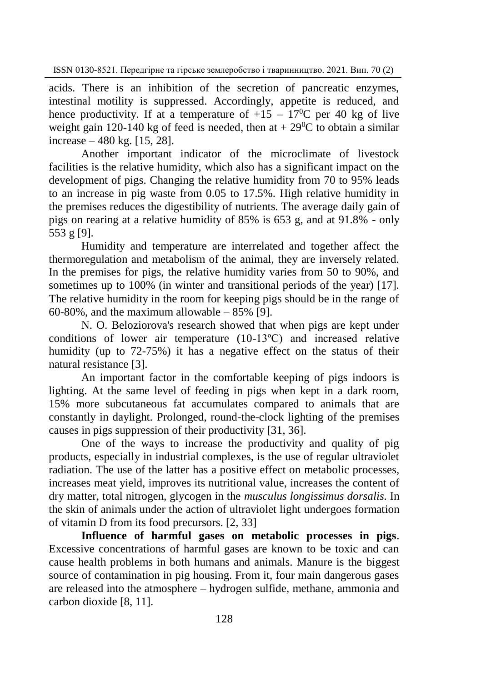acids. There is an inhibition of the secretion of pancreatic enzymes, intestinal motility is suppressed. Accordingly, appetite is reduced, and hence productivity. If at a temperature of  $+15 - 17$ <sup>o</sup>C per 40 kg of live weight gain 120-140 kg of feed is needed, then at  $+29^{\circ}$ C to obtain a similar increase – 480 kg. [15, 28].

Another important indicator of the microclimate of livestock facilities is the relative humidity, which also has a significant impact on the development of pigs. Changing the relative humidity from 70 to 95% leads to an increase in pig waste from 0.05 to 17.5%. High relative humidity in the premises reduces the digestibility of nutrients. The average daily gain of pigs on rearing at a relative humidity of 85% is 653 g, and at 91.8% - only 553 g [9].

Humidity and temperature are interrelated and together affect the thermoregulation and metabolism of the animal, they are inversely related. In the premises for pigs, the relative humidity varies from 50 to 90%, and sometimes up to 100% (in winter and transitional periods of the year) [17]. The relative humidity in the room for keeping pigs should be in the range of 60-80%, and the maximum allowable – 85% [9].

N. O. Beloziorova's research showed that when pigs are kept under conditions of lower air temperature (10-13ºС) and increased relative humidity (up to 72-75%) it has a negative effect on the status of their natural resistance [3].

An important factor in the comfortable keeping of pigs indoors is lighting. At the same level of feeding in pigs when kept in a dark room, 15% more subcutaneous fat accumulates compared to animals that are constantly in daylight. Prolonged, round-the-clock lighting of the premises causes in pigs suppression of their productivity [31, 36].

One of the ways to increase the productivity and quality of pig products, especially in industrial complexes, is the use of regular ultraviolet radiation. The use of the latter has a positive effect on metabolic processes, increases meat yield, improves its nutritional value, increases the content of dry matter, total nitrogen, glycogen in the *musculus longissimus dorsalis*. In the skin of animals under the action of ultraviolet light undergoes formation of vitamin D from its food precursors. [2, 33]

**Influence of harmful gases on metabolic processes in pigs**. Excessive concentrations of harmful gases are known to be toxic and can cause health problems in both humans and animals. Manure is the biggest source of contamination in pig housing. From it, four main dangerous gases are released into the atmosphere – hydrogen sulfide, methane, ammonia and carbon dioxide [8, 11].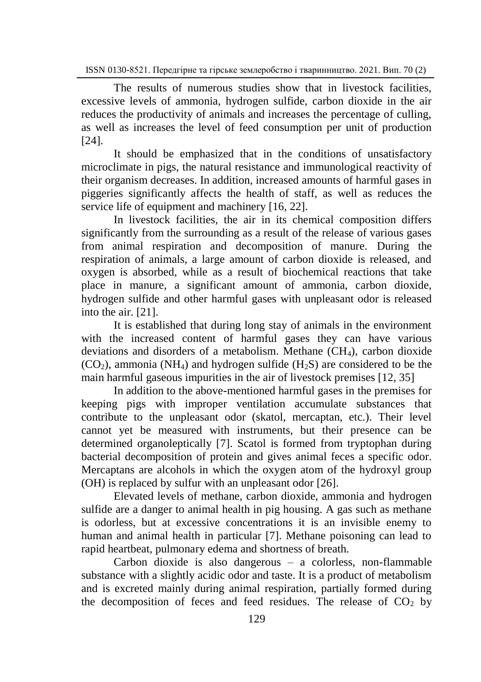The results of numerous studies show that in livestock facilities, excessive levels of ammonia, hydrogen sulfide, carbon dioxide in the air reduces the productivity of animals and increases the percentage of culling, as well as increases the level of feed consumption per unit of production [24].

It should be emphasized that in the conditions of unsatisfactory microclimate in pigs, the natural resistance and immunological reactivity of their organism decreases. In addition, increased amounts of harmful gases in piggeries significantly affects the health of staff, as well as reduces the service life of equipment and machinery [16, 22].

In livestock facilities, the air in its chemical composition differs significantly from the surrounding as a result of the release of various gases from animal respiration and decomposition of manure. During the respiration of animals, a large amount of carbon dioxide is released, and oxygen is absorbed, while as a result of biochemical reactions that take place in manure, a significant amount of ammonia, carbon dioxide, hydrogen sulfide and other harmful gases with unpleasant odor is released into the air. [21].

It is established that during long stay of animals in the environment with the increased content of harmful gases they can have various deviations and disorders of a metabolism. Methane (CH4), carbon dioxide  $(CO<sub>2</sub>)$ , ammonia (NH<sub>4</sub>) and hydrogen sulfide (H<sub>2</sub>S) are considered to be the main harmful gaseous impurities in the air of livestock premises [12, 35]

In addition to the above-mentioned harmful gases in the premises for keeping pigs with improper ventilation accumulate substances that contribute to the unpleasant odor (skatol, mercaptan, etc.). Their level cannot yet be measured with instruments, but their presence can be determined organoleptically [7]. Scatol is formed from tryptophan during bacterial decomposition of protein and gives animal feces a specific odor. Mercaptans are alcohols in which the oxygen atom of the hydroxyl group (OH) is replaced by sulfur with an unpleasant odor [26].

Elevated levels of methane, carbon dioxide, ammonia and hydrogen sulfide are a danger to animal health in pig housing. A gas such as methane is odorless, but at excessive concentrations it is an invisible enemy to human and animal health in particular [7]. Methane poisoning can lead to rapid heartbeat, pulmonary edema and shortness of breath.

Carbon dioxide is also dangerous – a colorless, non-flammable substance with a slightly acidic odor and taste. It is a product of metabolism and is excreted mainly during animal respiration, partially formed during the decomposition of feces and feed residues. The release of  $CO<sub>2</sub>$  by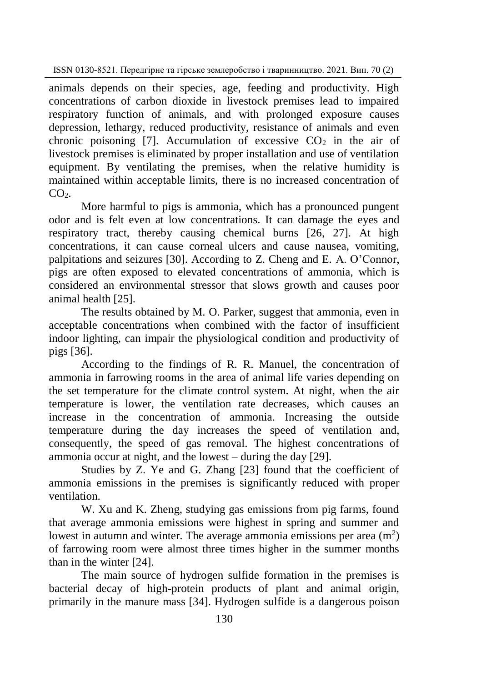animals depends on their species, age, feeding and productivity. High concentrations of carbon dioxide in livestock premises lead to impaired respiratory function of animals, and with prolonged exposure causes depression, lethargy, reduced productivity, resistance of animals and even chronic poisoning [7]. Accumulation of excessive  $CO<sub>2</sub>$  in the air of livestock premises is eliminated by proper installation and use of ventilation equipment. By ventilating the premises, when the relative humidity is maintained within acceptable limits, there is no increased concentration of  $CO<sub>2</sub>$ 

More harmful to pigs is ammonia, which has a pronounced pungent odor and is felt even at low concentrations. It can damage the eyes and respiratory tract, thereby causing chemical burns [26, 27]. At high concentrations, it can cause corneal ulcers and cause nausea, vomiting, palpitations and seizures [30]. According to Z. Cheng and E. A. O'Connor, pigs are often exposed to elevated concentrations of ammonia, which is considered an environmental stressor that slows growth and causes poor animal health [25].

The results obtained by M. O. Parker, suggest that ammonia, even in acceptable concentrations when combined with the factor of insufficient indoor lighting, can impair the physiological condition and productivity of pigs [36].

According to the findings of R. R. Manuel, the concentration of ammonia in farrowing rooms in the area of animal life varies depending on the set temperature for the climate control system. At night, when the air temperature is lower, the ventilation rate decreases, which causes an increase in the concentration of ammonia. Increasing the outside temperature during the day increases the speed of ventilation and, consequently, the speed of gas removal. The highest concentrations of ammonia occur at night, and the lowest – during the day [29].

Studies by Z. Ye and G. Zhang [23] found that the coefficient of ammonia emissions in the premises is significantly reduced with proper ventilation.

W. Xu and K. Zheng, studying gas emissions from pig farms, found that average ammonia emissions were highest in spring and summer and lowest in autumn and winter. The average ammonia emissions per area  $(m<sup>2</sup>)$ of farrowing room were almost three times higher in the summer months than in the winter [24].

The main source of hydrogen sulfide formation in the premises is bacterial decay of high-protein products of plant and animal origin, primarily in the manure mass [34]. Hydrogen sulfide is a dangerous poison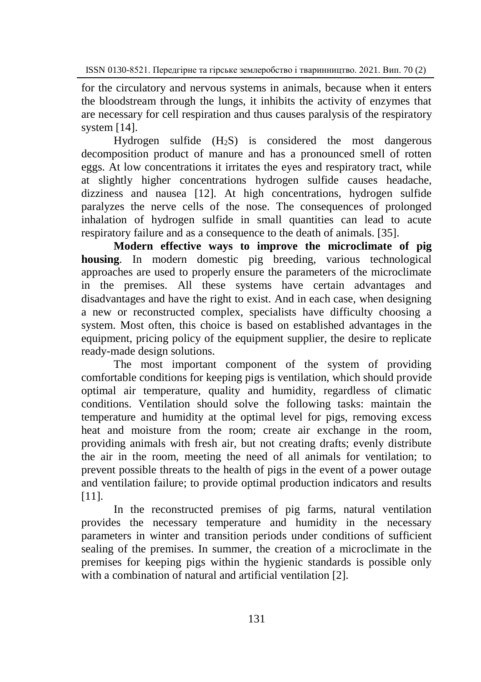for the circulatory and nervous systems in animals, because when it enters the bloodstream through the lungs, it inhibits the activity of enzymes that are necessary for cell respiration and thus causes paralysis of the respiratory system [14].

Hydrogen sulfide (H2S) is considered the most dangerous decomposition product of manure and has a pronounced smell of rotten eggs. At low concentrations it irritates the eyes and respiratory tract, while at slightly higher concentrations hydrogen sulfide causes headache, dizziness and nausea [12]. At high concentrations, hydrogen sulfide paralyzes the nerve cells of the nose. The consequences of prolonged inhalation of hydrogen sulfide in small quantities can lead to acute respiratory failure and as a consequence to the death of animals. [35].

**Modern effective ways to improve the microclimate of pig housing**. In modern domestic pig breeding, various technological approaches are used to properly ensure the parameters of the microclimate in the premises. All these systems have certain advantages and disadvantages and have the right to exist. And in each case, when designing a new or reconstructed complex, specialists have difficulty choosing a system. Most often, this choice is based on established advantages in the equipment, pricing policy of the equipment supplier, the desire to replicate ready-made design solutions.

The most important component of the system of providing comfortable conditions for keeping pigs is ventilation, which should provide optimal air temperature, quality and humidity, regardless of climatic conditions. Ventilation should solve the following tasks: maintain the temperature and humidity at the optimal level for pigs, removing excess heat and moisture from the room; create air exchange in the room, providing animals with fresh air, but not creating drafts; evenly distribute the air in the room, meeting the need of all animals for ventilation; to prevent possible threats to the health of pigs in the event of a power outage and ventilation failure; to provide optimal production indicators and results [11].

In the reconstructed premises of pig farms, natural ventilation provides the necessary temperature and humidity in the necessary parameters in winter and transition periods under conditions of sufficient sealing of the premises. In summer, the creation of a microclimate in the premises for keeping pigs within the hygienic standards is possible only with a combination of natural and artificial ventilation [2].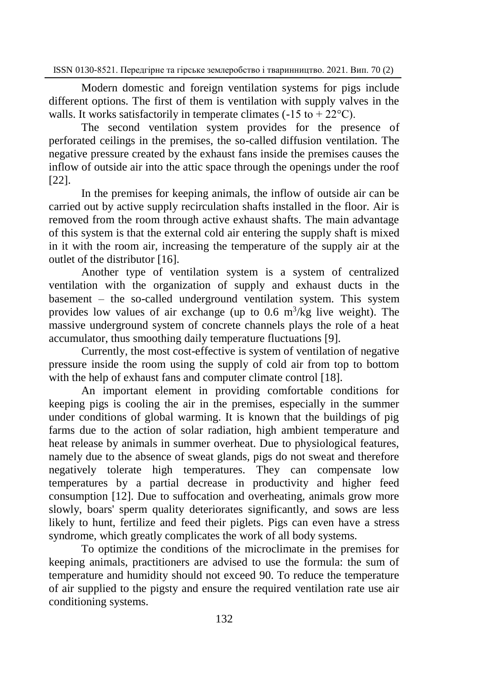Modern domestic and foreign ventilation systems for pigs include different options. The first of them is ventilation with supply valves in the walls. It works satisfactorily in temperate climates  $(-15 \text{ to } +22^{\circ}C)$ .

The second ventilation system provides for the presence of perforated ceilings in the premises, the so-called diffusion ventilation. The negative pressure created by the exhaust fans inside the premises causes the inflow of outside air into the attic space through the openings under the roof [22].

In the premises for keeping animals, the inflow of outside air can be carried out by active supply recirculation shafts installed in the floor. Air is removed from the room through active exhaust shafts. The main advantage of this system is that the external cold air entering the supply shaft is mixed in it with the room air, increasing the temperature of the supply air at the outlet of the distributor [16].

Another type of ventilation system is a system of centralized ventilation with the organization of supply and exhaust ducts in the basement – the so-called underground ventilation system. This system provides low values of air exchange (up to  $0.6 \text{ m}^3/\text{kg}$  live weight). The massive underground system of concrete channels plays the role of a heat accumulator, thus smoothing daily temperature fluctuations [9].

Currently, the most cost-effective is system of ventilation of negative pressure inside the room using the supply of cold air from top to bottom with the help of exhaust fans and computer climate control [18].

An important element in providing comfortable conditions for keeping pigs is cooling the air in the premises, especially in the summer under conditions of global warming. It is known that the buildings of pig farms due to the action of solar radiation, high ambient temperature and heat release by animals in summer overheat. Due to physiological features, namely due to the absence of sweat glands, pigs do not sweat and therefore negatively tolerate high temperatures. They can compensate low temperatures by a partial decrease in productivity and higher feed consumption [12]. Due to suffocation and overheating, animals grow more slowly, boars' sperm quality deteriorates significantly, and sows are less likely to hunt, fertilize and feed their piglets. Pigs can even have a stress syndrome, which greatly complicates the work of all body systems.

To optimize the conditions of the microclimate in the premises for keeping animals, practitioners are advised to use the formula: the sum of temperature and humidity should not exceed 90. To reduce the temperature of air supplied to the pigsty and ensure the required ventilation rate use air conditioning systems.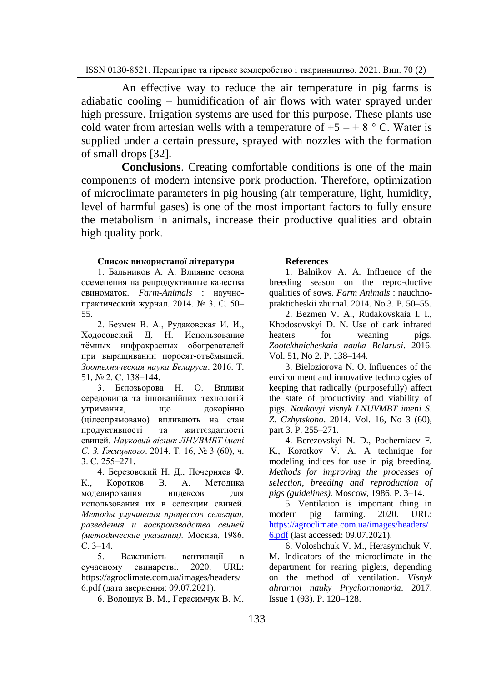An effective way to reduce the air temperature in pig farms is adiabatic cooling – humidification of air flows with water sprayed under high pressure. Irrigation systems are used for this purpose. These plants use cold water from artesian wells with a temperature of  $+5 - +8$  ° C. Water is supplied under a certain pressure, sprayed with nozzles with the formation of small drops [32].

**Conclusions**. Creating comfortable conditions is one of the main components of modern intensive pork production. Therefore, optimization of microclimate parameters in pig housing (air temperature, light, humidity, level of harmful gases) is one of the most important factors to fully ensure the metabolism in animals, increase their productive qualities and obtain high quality pork.

#### **Список використаної літератури**

1. Бальников А. А. Влияние сезона осеменения на репродуктивные качества свиноматок. *Farm-Animals* : научнопрактический журнал. 2014. № 3. C. 50– 55.

2. Безмен В. А., Рудаковская И. И., Ходосовский Д. Н. Использование тёмных инфракрасных обогревателей при выращивании поросят-отъёмышей. *Зоотехническая наука Беларуси*. 2016. Т. 51, № 2. С. 138–144.

3. Бєлозьорова Н. О. Впливи середовища та інноваційних технологій утримання, що докорінно (цілеспрямовано) впливають на стан продуктивності та життєздатності свиней. *Науковий вісник ЛНУВМБТ імені С. З. Ґжицького*. 2014. Т. 16, № 3 (60), ч. 3. С. 255–271.

4. Березовский Н. Д., Почерняев Ф. К., Коротков В. А. Методика моделирования индексов для использования их в селекции свиней. *Методы улучшения процессов селекции, разведения и воспроизводства свиней (методические указания).* Москва, 1986. С. 3–14.

5. Важливість вентиляції в сучасному свинарстві. 2020. URL: https://agroclimate.com.ua/images/headers/ 6.pdf (дата звернення: 09.07.2021).

6. Волощук В. М., Герасимчук В. М.

#### **References**

1. Balnikov A. A. Influence of the breeding season on the repro-ductive qualities of sows. *Farm Animals* : nauchnoprakticheskii zhurnal. 2014. No 3. P. 50–55.

2. Bezmen V. A., Rudakovskaia I. I., Khodosovskyi D. N. Use of dark infrared heaters for weaning pigs. *Zootekhnicheskaia nauka Belarusi*. 2016. Vol. 51, No 2. P. 138–144.

3. Bieloziorova N. O. Influences of the environment and innovative technologies of keeping that radically (purposefully) affect the state of productivity and viability of pigs. *Naukovyi visnyk LNUVMBT imeni S. Z. Gzhytskoho*. 2014. Vol. 16, No 3 (60), part 3. P. 255–271.

4. Berezovskyi N. D., Pocherniaev F. K., Korotkov V. A. A technique for modeling indices for use in pig breeding. *Methods for improving the processes of selection, breeding and reproduction of pigs (guidelines).* Moscow, 1986. P. 3–14.

5. Ventilation is important thing in modern pig farming. 2020. URL: [https://agroclimate.com.ua/images/headers/](https://agroclimate.com.ua/images/headers/6.pdf) [6.pdf](https://agroclimate.com.ua/images/headers/6.pdf) (last accessed: 09.07.2021).

6. Voloshchuk V. M., Herasymchuk V. M. Indicators of the microclimate in the department for rearing piglets, depending on the method of ventilation. *Visnyk ahrarnoi nauky Prychornomoria*. 2017. Issue 1 (93). P. 120–128.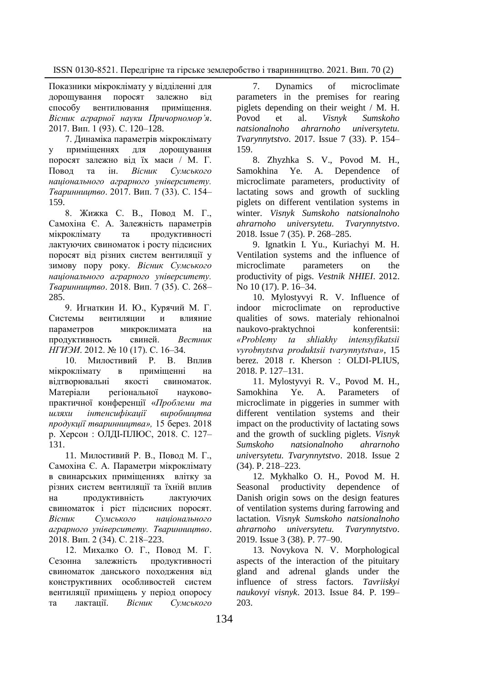Показники мікроклімату у відділенні для дорощування поросят залежно від способу вентилювання приміщення. *Вісник аграрної науки Причорномор'я*. 2017. Вип. 1 (93). С. 120–128.

7. Динаміка параметрів мікроклімату у приміщеннях для дорощування поросят залежно від їх маси / М. Г. Повод та ін. *Вісник Сумського національного аграрного університету. Тваринництво*. 2017. Вип. 7 (33). С. 154– 159.

8. Жижка С. В., Повод М. Г., Самохіна Є. А. Залежність параметрів мікроклімату та продуктивності лактуючих свиноматок і росту підсисних поросят від різних систем вентиляції у зимову пору року. *Вісник Сумського національного аграрного університету. Тваринництво*. 2018. Вип. 7 (35). С. 268– 285.

9. Игнаткин И. Ю., Курячий М. Г. Системы вентиляции и влияние параметров микроклимата на продуктивность свиней. *Вестник НГИЭИ*. 2012. № 10 (17). С. 16–34.

10. Милостивий Р. В. Вплив мікроклімату в приміщенні на відтворювальні якості свиноматок. Матеріали регіональної науковопрактичної конференції «*Проблеми та шляхи інтенсифікації виробництва продукції тваринництва»,* 15 берез. 2018 р. Херсон : ОЛДІ-ПЛЮС, 2018. С. 127– 131.

11. Милостивий Р. В., Повод М. Г., Самохіна Є. А. Параметри мікроклімату в свинарських приміщеннях влітку за різних систем вентиляції та їхній вплив на продуктивність лактуючих свиноматок і ріст підсисних поросят. *Вісник Сумського національного аграрного університету. Тваринництво*. 2018. Вип. 2 (34). С. 218–223.

12. Михалко О. Г., Повод М. Г. Сезонна залежність продуктивності свиноматок данського походження від конструктивних особливостей систем вентиляції приміщень у період опоросу та лактації. *Вісник Сумського* 

7. Dynamics of microclimate parameters in the premises for rearing piglets depending on their weight / M. H. Povod et al. *Visnyk Sumskoho natsionalnoho ahrarnoho universytetu. Tvarynnytstvo*. 2017. Issue 7 (33). P. 154– 159.

8. Zhyzhka S. V., Povod M. H., Samokhina Ye. A. Dependence of microclimate parameters, productivity of lactating sows and growth of suckling piglets on different ventilation systems in winter. *Visnyk Sumskoho natsionalnoho ahrarnoho universytetu. Tvarynnytstvo*. 2018. Issue 7 (35). P. 268–285.

9. Ignatkin I. Yu., Kuriachyi M. H. Ventilation systems and the influence of microclimate parameters on the productivity of pigs. *Vestnik NHIEI*. 2012. No 10 (17). P. 16–34.

10. Mylostyvyi R. V. Influence of indoor microclimate on reproductive qualities of sows. materialy rehionalnoi naukovo-praktychnoi konferentsii: *«Problemy ta shliakhy intensyfikatsii vyrobnytstva produktsii tvarynnytstva»*, 15 berez. 2018 r. Kherson : OLDI-PLIUS, 2018. P. 127–131.

11. Mylostyvyi R. V., Povod M. H., Samokhina Ye. A. Parameters of microclimate in piggeries in summer with different ventilation systems and their impact on the productivity of lactating sows and the growth of suckling piglets. *Visnyk Sumskoho natsionalnoho ahrarnoho universytetu. Tvarynnytstvo*. 2018. Issue 2 (34). P. 218–223.

12. Mykhalko O. H., Povod M. H. Seasonal productivity dependence of Danish origin sows on the design features of ventilation systems during farrowing and lactation. *Visnyk Sumskoho natsionalnoho ahrarnoho universytetu. Tvarynnytstvo*. 2019. Issue 3 (38). P. 77–90.

13. Novykova N. V. Morphological aspects of the interaction of the pituitary gland and adrenal glands under the influence of stress factors. *Tavriiskyi naukovyi visnyk*. 2013. Issue 84. P. 199– 203.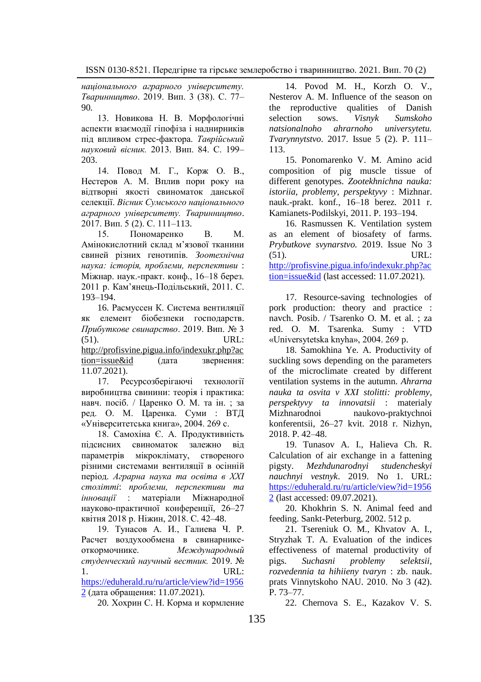*національного аграрного університету. Тваринництво*. 2019. Вип. 3 (38). С. 77– 90.

13. Новикова Н. В. Морфологічні аспекти взаємодії гіпофіза і наднирників під впливом стрес-фактора. *Таврійський науковий вісник.* 2013. Вип. 84. С. 199– 203.

14. Повод М. Г., Корж О. В., Нестеров А. М. Вплив пори року на відтворні якості свиноматок данської селекції. *Вісник Сумського національного аграрного університету. Тваринництво*. 2017. Вип. 5 (2). С. 111–113.

15. Пономаренко В. М. Амінокислотний склад м'язової тканини свиней різних генотипів. *Зоотехнічна наука: історія, проблеми, перспективи* : Міжнар. наук.-практ. конф., 16–18 берез. 2011 р. Кам'янець-Подільський, 2011. С. 193–194.

16. Расмуссен К. Система вентиляції як елемент біобезпеки господарств. *Прибуткове свинарство*. 2019. Вип. № 3 (51). URL: [http://profisvine.pigua.info/indexukr.php?ac](http://profisvine.pigua.info/indexukr.php?action=issue&id) [tion=issue&id](http://profisvine.pigua.info/indexukr.php?action=issue&id) (дата звернення: 11.07.2021).

17. Ресурсозберігаючі технології виробництва свинини: теорія і практика: навч. посіб. / Царенко О. М. та ін. ; за ред. О. М. Царенка. Суми : ВТД «Університетська книга», 2004. 269 с.

18. Cамохіна Є. А. Продуктивність підсисних свиноматок залежно від параметрів мікроклімату, створеного різними системами вентиляції в осінній період. *Аграрна наука та освіта в ХХІ столітті*: *проблеми, перспективи та інновації* : матеріали Міжнародної науково-практичної конференції, 26-27 квітня 2018 р. Ніжин, 2018. С. 42–48.

19. Тунасов А. И., Галиева Ч. Р. Расчет воздухообмена в свинарникеоткормочнике. *Международный студенческий научный вестник.* 2019. № 1. URL:

[https://eduherald.ru/ru/article/view?id=1956](https://eduherald.ru/ru/article/view?id=19562) [2](https://eduherald.ru/ru/article/view?id=19562) (дата обращения: 11.07.2021).

20. Хохрин С. Н. Корма и кормление

14. Povod M. H., Korzh O. V., Nesterov A. M. Influence of the season on the reproductive qualities of Danish selection sows. *Visnyk Sumskoho natsionalnoho ahrarnoho universytetu. Tvarynnytstvo*. 2017. Issue 5 (2). P. 111– 113.

15. Ponomarenko V. M. Amino acid composition of pig muscle tissue of different genotypes. *Zootekhnichna nauka: istoriia, problemy, perspektyvy* : Mizhnar. nauk.-prakt. konf., 16–18 berez. 2011 r. Kamianets-Podilskyi, 2011. P. 193–194.

16. Rasmussen K. Ventilation system as an element of biosafety of farms. *Prybutkove svynarstvo.* 2019. Issue No 3 (51). URL: [http://profisvine.pigua.info/indexukr.php?ac](http://profisvine.pigua.info/indexukr.php?action=issue&id) [tion=issue&id](http://profisvine.pigua.info/indexukr.php?action=issue&id) (last accessed: 11.07.2021).

17. Resource-saving technologies of pork production: theory and practice : navch. Posib. / Tsarenko O. M. et al. ; za red. O. M. Tsarenka. Sumy : VTD «Universytetska knyha», 2004. 269 p.

18. Samokhina Ye. A. Productivity of suckling sows depending on the parameters of the microclimate created by different ventilation systems in the autumn. *Ahrarna nauka ta osvita v XXI stolitti: problemy, perspektyvy ta innovatsii* : materialy Mizhnarodnoi naukovo-praktychnoi konferentsii, 26‒27 kvit. 2018 r. Nizhyn, 2018. P. 42–48.

19. Tunasov A. I., Halieva Ch. R. Calculation of air exchange in a fattening pigsty. *Mezhdunarodnyi studencheskyi nauchnyi vestnyk*. 2019. No 1. URL: [https://eduherald.ru/ru/article/view?id=1956](https://eduherald.ru/ru/article/view?id=19562) [2](https://eduherald.ru/ru/article/view?id=19562) (last accessed: 09.07.2021).

20. Khokhrin S. N. Animal feed and feeding. Sankt-Peterburg, 2002. 512 p.

21. Tsereniuk O. M., Khvatov A. I., Stryzhak T. A. Evaluation of the indices effectiveness of maternal productivity of pigs. *Suchasni problemy selektsii, rozvedennia ta hihiieny tvaryn* : zb. nauk. prats Vinnytskoho NAU. 2010. No 3 (42). P. 73–77.

22. Chernova S. E., Kazakov V. S.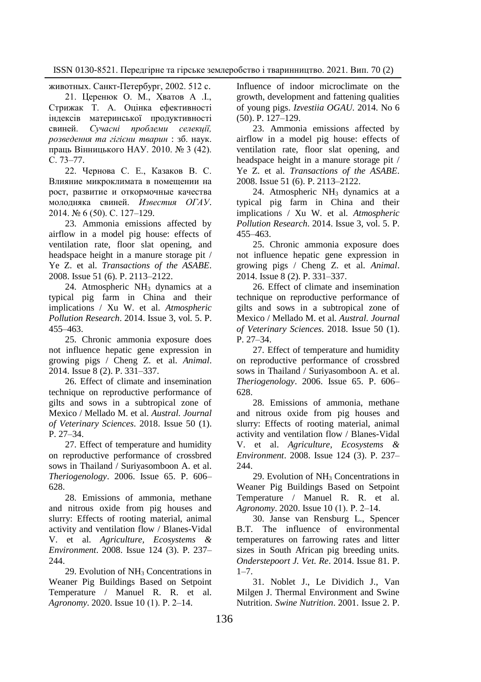животных. Санкт-Петербург, 2002. 512 с.

21. Церенюк О. М., Хватов А .І., Стрижак Т. А. Оцінка ефективності індексів материнської продуктивності свиней. *Сучасні проблеми селекції, розведення та гігієни тварин* : зб. наук. праць Вінницького НАУ. 2010. № 3 (42). С. 73–77.

22. Чернова С. Е., Казаков В. С. Влияние микроклимата в помещении на рост, развитие и откормочные качества молодняка свиней. *Известия ОГАУ*. 2014. № 6 (50). С. 127–129.

23. Ammonia emissions affected by airflow in a model pig house: effects of ventilation rate, floor slat opening, and headspace height in a manure storage pit / Ye Z. et al. *Transactions of the ASABE*. 2008. Issue 51 (6). P. 2113–2122.

24. Atmospheric NH<sub>3</sub> dynamics at a typical pig farm in China and their implications / Xu W. et al. *Atmospheric Pollution Research*. 2014. Issue 3, vol. 5. P. 455–463.

25. Chronic ammonia exposure does not influence hepatic gene expression in growing pigs / Cheng Z. et al. *Animal*. 2014. Issue 8 (2). P. 331–337.

26. Effect of climate and insemination technique on reproductive performance of gilts and sows in a subtropical zone of Mexico / Mellado M. et al. *Austral. Journal of Veterinary Sciences*. 2018. Issue 50 (1). P. 27–34.

27. Effect of temperature and humidity on reproductive performance of crossbred sows in Thailand / Suriyasomboon A. et al. *Theriogenology*. 2006. Issue 65. P. 606– 628.

28. Emissions of ammonia, methane and nitrous oxide from pig houses and slurry: Effects of rooting material, animal activity and ventilation flow / Blanes-Vidal V. et al. *Agriculture, Ecosystems & Environment*. 2008. Issue 124 (3). P. 237–  $244.$ 

29. Evolution of  $NH<sub>3</sub>$  Concentrations in Weaner Pig Buildings Based on Setpoint Temperature / Manuel R. R. et al. *Agronomy*. 2020. Issue 10 (1). Р. 2–14.

Influence of indoor microclimate on the growth, development and fattening qualities of young pigs. *Izvestiia OGAU*. 2014. No 6 (50). P. 127–129.

23. Ammonia emissions affected by airflow in a model pig house: effects of ventilation rate, floor slat opening, and headspace height in a manure storage pit / Ye Z. et al. *Transactions of the ASABE*. 2008. Issue 51 (6). P. 2113–2122.

24. Atmospheric NH<sub>3</sub> dynamics at a typical pig farm in China and their implications / Xu W. et al. *Atmospheric Pollution Research*. 2014. Issue 3, vol. 5. P. 455–463.

25. Chronic ammonia exposure does not influence hepatic gene expression in growing pigs / Cheng Z. et al. *Animal*. 2014. Issue 8 (2). P. 331–337.

26. Effect of climate and insemination technique on reproductive performance of gilts and sows in a subtropical zone of Mexico / Mellado M. et al. *Austral. Journal of Veterinary Sciences*. 2018. Issue 50 (1). P. 27–34.

27. Effect of temperature and humidity on reproductive performance of crossbred sows in Thailand / Suriyasomboon A. et al. *Theriogenology*. 2006. Issue 65. P. 606– 628.

28. Emissions of ammonia, methane and nitrous oxide from pig houses and slurry: Effects of rooting material, animal activity and ventilation flow / Blanes-Vidal V. et al. *Agriculture, Ecosystems & Environment*. 2008. Issue 124 (3). P. 237– 244.

29. Evolution of NH<sub>3</sub> Concentrations in Weaner Pig Buildings Based on Setpoint Temperature / Manuel R. R. et al. *Agronomy*. 2020. Issue 10 (1). Р. 2–14.

30. Janse van Rensburg L., Spencer B.T. The influence of environmental temperatures on farrowing rates and litter sizes in South African pig breeding units. *Onderstepoort J. Vet. Re*. 2014. Issue 81. P. 1–7.

31. Noblet J., Le Dividich J., Van Milgen J. Thermal Environment and Swine Nutrition. *Swine Nutrition*. 2001. Issue 2. P.